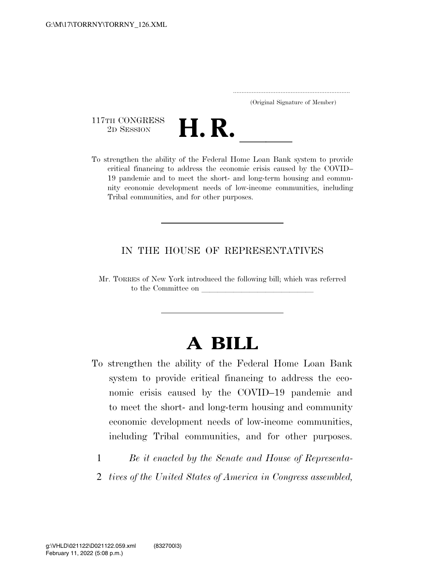..................................................................... (Original Signature of Member)

117TH CONGRESS<br>2D SESSION



117TH CONGRESS<br>
2D SESSION<br>
To strengthen the ability of the Federal Home Loan Bank system to provide critical financing to address the economic crisis caused by the COVID– 19 pandemic and to meet the short- and long-term housing and community economic development needs of low-income communities, including Tribal communities, and for other purposes.

# IN THE HOUSE OF REPRESENTATIVES

Mr. TORRES of New York introduced the following bill; which was referred to the Committee on

# **A BILL**

- To strengthen the ability of the Federal Home Loan Bank system to provide critical financing to address the economic crisis caused by the COVID–19 pandemic and to meet the short- and long-term housing and community economic development needs of low-income communities, including Tribal communities, and for other purposes.
	- 1 *Be it enacted by the Senate and House of Representa-*
	- 2 *tives of the United States of America in Congress assembled,*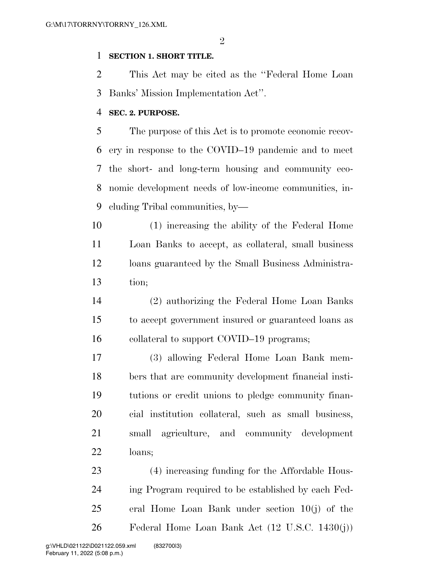# **SECTION 1. SHORT TITLE.**

 This Act may be cited as the ''Federal Home Loan Banks' Mission Implementation Act''.

#### **SEC. 2. PURPOSE.**

 The purpose of this Act is to promote economic recov- ery in response to the COVID–19 pandemic and to meet the short- and long-term housing and community eco- nomic development needs of low-income communities, in-cluding Tribal communities, by—

 (1) increasing the ability of the Federal Home Loan Banks to accept, as collateral, small business loans guaranteed by the Small Business Administra-tion;

 (2) authorizing the Federal Home Loan Banks to accept government insured or guaranteed loans as 16 collateral to support COVID–19 programs;

 (3) allowing Federal Home Loan Bank mem- bers that are community development financial insti- tutions or credit unions to pledge community finan- cial institution collateral, such as small business, small agriculture, and community development loans;

 (4) increasing funding for the Affordable Hous- ing Program required to be established by each Fed- eral Home Loan Bank under section 10(j) of the Federal Home Loan Bank Act (12 U.S.C. 1430(j))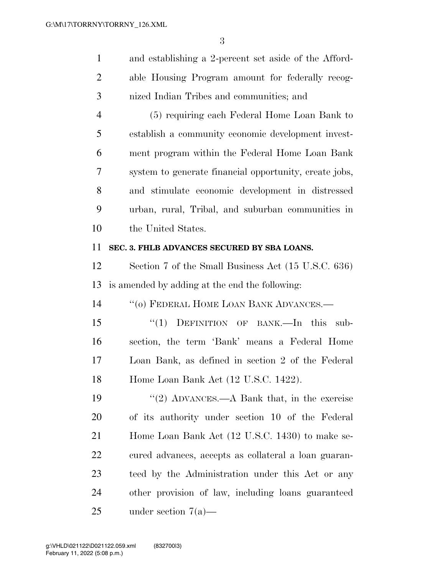and establishing a 2-percent set aside of the Afford- able Housing Program amount for federally recog-nized Indian Tribes and communities; and

 (5) requiring each Federal Home Loan Bank to establish a community economic development invest- ment program within the Federal Home Loan Bank system to generate financial opportunity, create jobs, and stimulate economic development in distressed urban, rural, Tribal, and suburban communities in the United States.

# **SEC. 3. FHLB ADVANCES SECURED BY SBA LOANS.**

 Section 7 of the Small Business Act (15 U.S.C. 636) is amended by adding at the end the following:

14 "(0) FEDERAL HOME LOAN BANK ADVANCES.—

 ''(1) DEFINITION OF BANK.—In this sub- section, the term 'Bank' means a Federal Home Loan Bank, as defined in section 2 of the Federal Home Loan Bank Act (12 U.S.C. 1422).

19 ''(2) ADVANCES.—A Bank that, in the exercise of its authority under section 10 of the Federal 21 Home Loan Bank Act (12 U.S.C. 1430) to make se- cured advances, accepts as collateral a loan guaran- teed by the Administration under this Act or any other provision of law, including loans guaranteed under section 7(a)—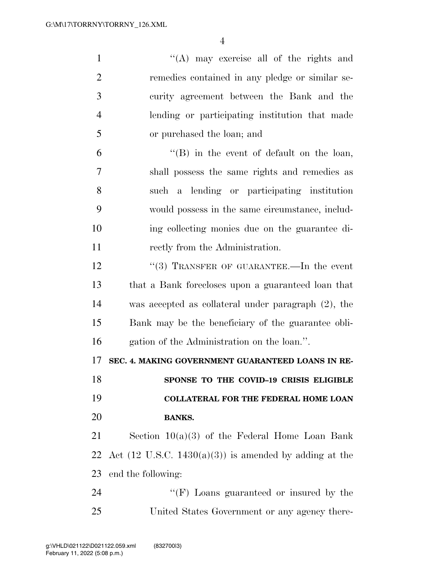| $\mathbf{1}$   | "(A) may exercise all of the rights and                           |
|----------------|-------------------------------------------------------------------|
| $\overline{2}$ | remedies contained in any pledge or similar se-                   |
| 3              | curity agreement between the Bank and the                         |
| $\overline{4}$ | lending or participating institution that made                    |
| 5              | or purchased the loan; and                                        |
| 6              | $\lq\lq (B)$ in the event of default on the loan,                 |
| 7              | shall possess the same rights and remedies as                     |
| 8              | such a lending or participating institution                       |
| 9              | would possess in the same circumstance, includ-                   |
| 10             | ing collecting monies due on the guarantee di-                    |
| 11             | rectly from the Administration.                                   |
| 12             | "(3) TRANSFER OF GUARANTEE.—In the event                          |
| 13             | that a Bank forecloses upon a guaranteed loan that                |
| 14             | was accepted as collateral under paragraph $(2)$ , the            |
| 15             | Bank may be the beneficiary of the guarantee obli-                |
| 16             | gation of the Administration on the loan.".                       |
| 17             | SEC. 4. MAKING GOVERNMENT GUARANTEED LOANS IN RE-                 |
| 18             | SPONSE TO THE COVID-19 CRISIS ELIGIBLE                            |
| 19             | <b>COLLATERAL FOR THE FEDERAL HOME LOAN</b>                       |
| 20             | <b>BANKS.</b>                                                     |
| 21             | Section $10(a)(3)$ of the Federal Home Loan Bank                  |
| 22             | Act $(12 \text{ U.S.C. } 1430(a)(3))$ is amended by adding at the |
| 23             | end the following:                                                |
| 24             | "(F) Loans guaranteed or insured by the                           |
| 25             | United States Government or any agency there-                     |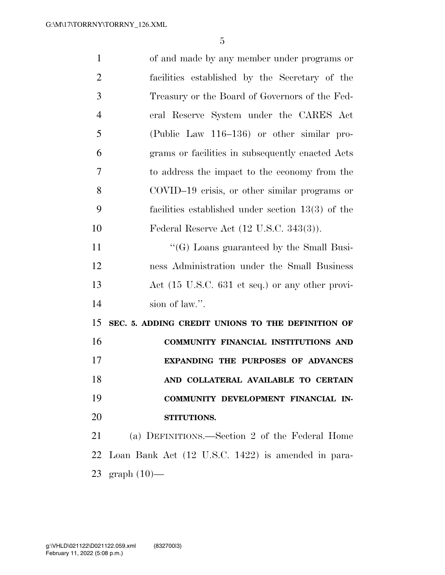| $\mathbf{1}$   | of and made by any member under programs or           |
|----------------|-------------------------------------------------------|
| $\overline{2}$ | facilities established by the Secretary of the        |
| 3              | Treasury or the Board of Governors of the Fed-        |
| $\overline{4}$ | eral Reserve System under the CARES Act               |
| 5              | (Public Law 116–136) or other similar pro-            |
| 6              | grams or facilities in subsequently enacted Acts      |
| 7              | to address the impact to the economy from the         |
| 8              | COVID-19 crisis, or other similar programs or         |
| 9              | facilities established under section $13(3)$ of the   |
| 10             | Federal Reserve Act $(12 \text{ U.S.C. } 343(3))$ .   |
| 11             | $\lq\lq(G)$ Loans guaranteed by the Small Busi-       |
| 12             | ness Administration under the Small Business          |
| 13             | Act (15 U.S.C. 631 et seq.) or any other provi-       |
| 14             | sion of law.".                                        |
| 15             | SEC. 5. ADDING CREDIT UNIONS TO THE DEFINITION OF     |
| 16             | COMMUNITY FINANCIAL INSTITUTIONS AND                  |
| 17             | <b>EXPANDING THE PURPOSES OF ADVANCES</b>             |
| 18             | AND COLLATERAL AVAILABLE TO CERTAIN                   |
| 19             | COMMUNITY DEVELOPMENT FINANCIAL IN-                   |
| 20             | STITUTIONS.                                           |
| 21             | (a) DEFINITIONS.—Section 2 of the Federal Home        |
|                | 22 Loan Bank Act (12 U.S.C. 1422) is amended in para- |
|                | 23 graph $(10)$ —                                     |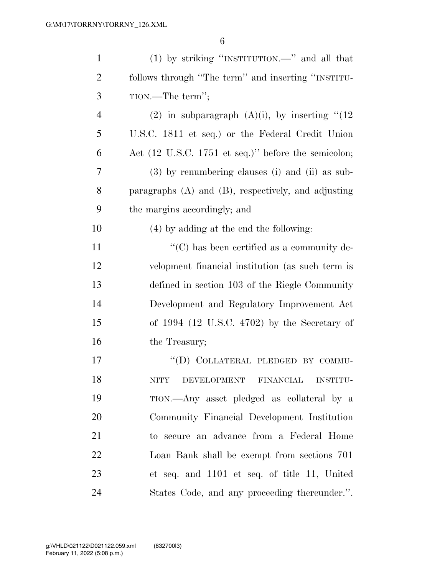| $\mathbf{1}$   | $(1)$ by striking "INSTITUTION.—" and all that                          |
|----------------|-------------------------------------------------------------------------|
| $\overline{2}$ | follows through "The term" and inserting "INSTITU-                      |
| 3              | TION.—The term";                                                        |
| $\overline{4}$ | (2) in subparagraph $(A)(i)$ , by inserting " $(12)$                    |
| 5              | U.S.C. 1811 et seq.) or the Federal Credit Union                        |
| 6              | Act $(12 \text{ U.S.C. } 1751 \text{ et seq.})$ " before the semicolon; |
| 7              | $(3)$ by renumbering clauses (i) and (ii) as sub-                       |
| 8              | paragraphs $(A)$ and $(B)$ , respectively, and adjusting                |
| 9              | the margins accordingly; and                                            |
| 10             | (4) by adding at the end the following:                                 |
| 11             | $\lq\lq$ <sup>c</sup> (C) has been certified as a community de-         |
| 12             | velopment financial institution (as such term is                        |
| 13             | defined in section 103 of the Riegle Community                          |
| 14             | Development and Regulatory Improvement Act                              |
| 15             | of $1994$ (12 U.S.C. 4702) by the Secretary of                          |
| 16             | the Treasury;                                                           |
| 17             | "(D) COLLATERAL PLEDGED BY COMMU-                                       |
| 18             | DEVELOPMENT FINANCIAL INSTITU-<br>NITY                                  |
| 19             | TION.—Any asset pledged as collateral by a                              |
| 20             | Community Financial Development Institution                             |
| 21             | to secure an advance from a Federal Home                                |
| 22             | Loan Bank shall be exempt from sections 701                             |
| 23             | et seq. and 1101 et seq. of title 11, United                            |
| 24             | States Code, and any proceeding the reunder.".                          |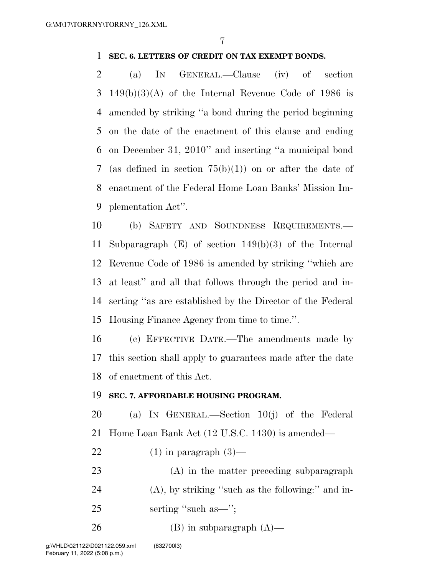# **SEC. 6. LETTERS OF CREDIT ON TAX EXEMPT BONDS.**

 (a) IN GENERAL.—Clause (iv) of section 149(b)(3)(A) of the Internal Revenue Code of 1986 is amended by striking ''a bond during the period beginning on the date of the enactment of this clause and ending on December 31, 2010'' and inserting ''a municipal bond (as defined in section 75(b)(1)) on or after the date of enactment of the Federal Home Loan Banks' Mission Im-plementation Act''.

 (b) SAFETY AND SOUNDNESS REQUIREMENTS.— Subparagraph (E) of section 149(b)(3) of the Internal Revenue Code of 1986 is amended by striking ''which are at least'' and all that follows through the period and in- serting ''as are established by the Director of the Federal Housing Finance Agency from time to time.''.

 (c) EFFECTIVE DATE.—The amendments made by this section shall apply to guarantees made after the date of enactment of this Act.

# **SEC. 7. AFFORDABLE HOUSING PROGRAM.**

 (a) IN GENERAL.—Section 10(j) of the Federal Home Loan Bank Act (12 U.S.C. 1430) is amended—

- 22  $(1)$  in paragraph  $(3)$ —
- (A) in the matter preceding subparagraph (A), by striking ''such as the following:'' and in-25 serting "such as—";
- 26 (B) in subparagraph  $(A)$ —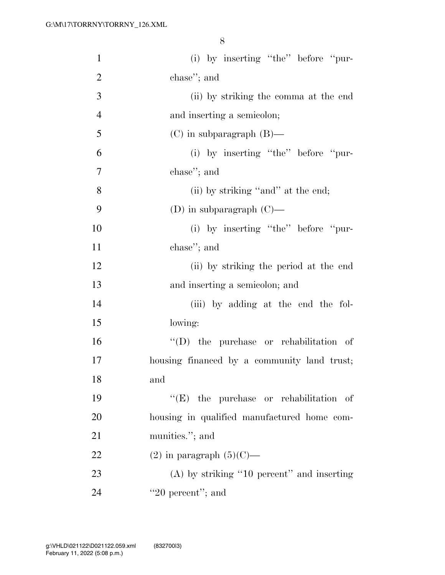| $\mathbf{1}$   | (i) by inserting "the" before "pur-            |
|----------------|------------------------------------------------|
| $\overline{2}$ | chase"; and                                    |
| 3              | (ii) by striking the comma at the end          |
| $\overline{4}$ | and inserting a semicolon;                     |
| 5              | $(C)$ in subparagraph $(B)$ —                  |
| 6              | (i) by inserting "the" before "pur-            |
| $\tau$         | chase"; and                                    |
| 8              | (ii) by striking "and" at the end;             |
| 9              | (D) in subparagraph $(C)$ —                    |
| 10             | (i) by inserting "the" before "pur-            |
| 11             | chase"; and                                    |
| 12             | (ii) by striking the period at the end         |
| 13             | and inserting a semicolon; and                 |
| 14             | (iii) by adding at the end the fol-            |
| 15             | lowing:                                        |
| 16             | "(D) the purchase or rehabilitation of         |
| 17             | housing financed by a community land trust;    |
| 18             | and                                            |
| 19             | $\lq\lq$ (E) the purchase or rehabilitation of |
| 20             | housing in qualified manufactured home com-    |
| 21             | munities."; and                                |
| 22             | $(2)$ in paragraph $(5)(C)$ —                  |
| 23             | $(A)$ by striking "10 percent" and inserting   |
| 24             | "20 percent"; and                              |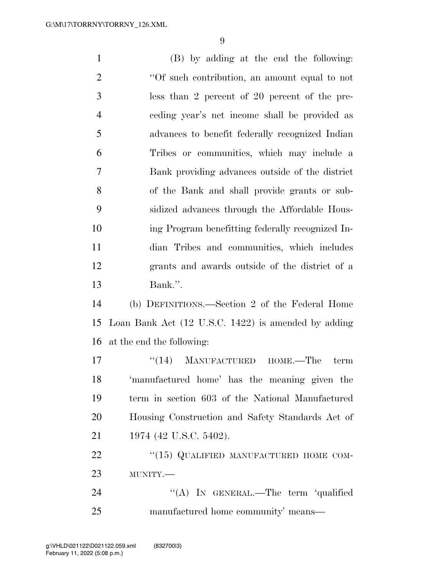(B) by adding at the end the following: 2 <sup>"</sup>Of such contribution, an amount equal to not less than 2 percent of 20 percent of the pre- ceding year's net income shall be provided as advances to benefit federally recognized Indian Tribes or communities, which may include a Bank providing advances outside of the district of the Bank and shall provide grants or sub- sidized advances through the Affordable Hous- ing Program benefitting federally recognized In- dian Tribes and communities, which includes grants and awards outside of the district of a Bank.''. (b) DEFINITIONS.—Section 2 of the Federal Home Loan Bank Act (12 U.S.C. 1422) is amended by adding at the end the following: 17 ''(14) MANUFACTURED HOME.—The term 'manufactured home' has the meaning given the term in section 603 of the National Manufactured Housing Construction and Safety Standards Act of 21 1974 (42 U.S.C. 5402). 22 "(15) QUALIFIED MANUFACTURED HOME COM- MUNITY.— 24 "(A) In GENERAL.—The term 'qualified

manufactured home community' means—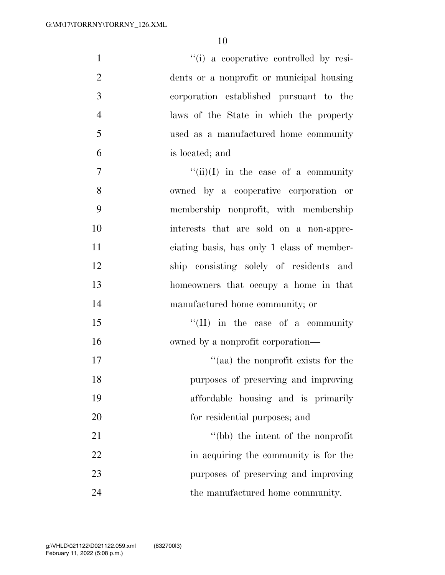| $\mathbf{1}$   | "(i) a cooperative controlled by resi-     |
|----------------|--------------------------------------------|
| $\overline{2}$ | dents or a nonprofit or municipal housing  |
| 3              | corporation established pursuant to the    |
| $\overline{4}$ | laws of the State in which the property    |
| 5              | used as a manufactured home community      |
| 6              | is located; and                            |
| $\tau$         | $``(ii)(I)$ in the case of a community     |
| 8              | owned by a cooperative corporation or      |
| 9              | membership nonprofit, with membership      |
| 10             | interests that are sold on a non-appre-    |
| 11             | ciating basis, has only 1 class of member- |
| 12             | ship consisting solely of residents and    |
| 13             | homeowners that occupy a home in that      |
| 14             | manufactured home community; or            |
| 15             | $\lq\lq$ (II) in the case of a community   |
| 16             | owned by a nonprofit corporation—          |
| 17             | $\cdot$ (aa) the nonprofit exists for the  |
| 18             | purposes of preserving and improving       |
| 19             | affordable housing and is primarily        |
| 20             | for residential purposes; and              |
| 21             | "(bb) the intent of the nonprofit          |
| 22             | in acquiring the community is for the      |
| 23             | purposes of preserving and improving       |
| 24             | the manufactured home community.           |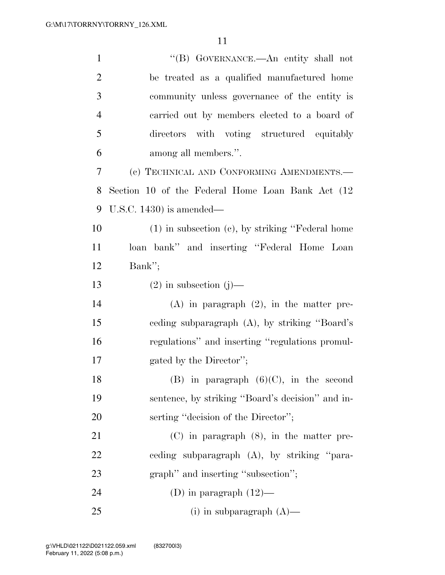| $\mathbf{1}$   | "(B) GOVERNANCE.—An entity shall not                  |
|----------------|-------------------------------------------------------|
| $\overline{2}$ | be treated as a qualified manufactured home           |
| 3              | community unless governance of the entity is          |
| $\overline{4}$ | carried out by members elected to a board of          |
| 5              | directors with voting structured equitably            |
| 6              | among all members.".                                  |
| 7              | (c) TECHNICAL AND CONFORMING AMENDMENTS.-             |
| 8              | Section 10 of the Federal Home Loan Bank Act (12)     |
| 9              | U.S.C. $1430$ ) is amended—                           |
| 10             | $(1)$ in subsection $(e)$ , by striking "Federal home |
| 11             | loan bank" and inserting "Federal Home Loan           |
| 12             | Bank";                                                |
| 13             | $(2)$ in subsection $(j)$ —                           |
| 14             | $(A)$ in paragraph $(2)$ , in the matter pre-         |
| 15             | eeding subparagraph (A), by striking "Board's         |
| 16             | regulations" and inserting "regulations promul-       |
| 17             | gated by the Director";                               |
| 18             | $(B)$ in paragraph $(6)(C)$ , in the second           |
| 19             | sentence, by striking "Board's decision" and in-      |
| 20             | serting "decision of the Director";                   |
| 21             | $(C)$ in paragraph $(8)$ , in the matter pre-         |
| 22             | eeding subparagraph (A), by striking "para-           |
| 23             | graph" and inserting "subsection";                    |
| 24             | (D) in paragraph $(12)$ —                             |
| 25             | (i) in subparagraph $(A)$ —                           |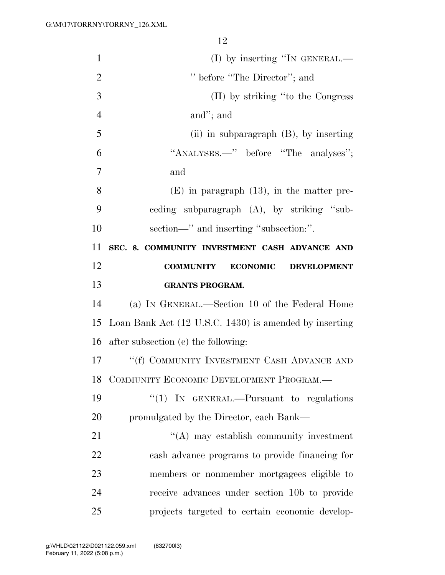| $\mathbf{1}$   | $(I)$ by inserting "IN GENERAL.—                          |
|----------------|-----------------------------------------------------------|
| $\overline{2}$ | " before "The Director"; and                              |
| 3              | (II) by striking "to the Congress"                        |
| $\overline{4}$ | and"; and                                                 |
| 5              | (ii) in subparagraph $(B)$ , by inserting                 |
| 6              | "ANALYSES.—" before "The analyses";                       |
| 7              | and                                                       |
| 8              | $(E)$ in paragraph $(13)$ , in the matter pre-            |
| 9              | eeding subparagraph (A), by striking "sub-                |
| 10             | section—" and inserting "subsection:".                    |
| 11             | SEC. 8. COMMUNITY INVESTMENT CASH ADVANCE AND             |
| 12             | <b>COMMUNITY</b><br><b>ECONOMIC</b><br><b>DEVELOPMENT</b> |
|                |                                                           |
| 13             | <b>GRANTS PROGRAM.</b>                                    |
| 14             | (a) IN GENERAL.—Section 10 of the Federal Home            |
| 15             | Loan Bank Act (12 U.S.C. 1430) is amended by inserting    |
| 16             | after subsection (e) the following:                       |
| 17             | "(f) COMMUNITY INVESTMENT CASH ADVANCE AND                |
| 18             | COMMUNITY ECONOMIC DEVELOPMENT PROGRAM.-                  |
| 19             | "(1) IN GENERAL.—Pursuant to regulations                  |
| 20             | promulgated by the Director, each Bank—                   |
| 21             | $\lq\lq$ may establish community investment               |
| 22             | cash advance programs to provide financing for            |
| 23             | members or nonmember mortgagees eligible to               |
| 24             | receive advances under section 10b to provide             |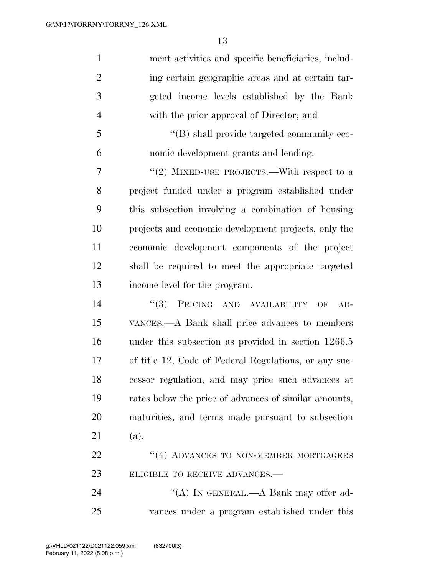| $\mathbf{1}$   | ment activities and specific beneficiaries, includ-   |
|----------------|-------------------------------------------------------|
| $\overline{2}$ | ing certain geographic areas and at certain tar-      |
| 3              | geted income levels established by the Bank           |
| $\overline{4}$ | with the prior approval of Director; and              |
| 5              | $\lq\lq (B)$ shall provide targeted community eco-    |
| 6              | nomic development grants and lending.                 |
| 7              | "(2) MIXED-USE PROJECTS.—With respect to a            |
| 8              | project funded under a program established under      |
| 9              | this subsection involving a combination of housing    |
| 10             | projects and economic development projects, only the  |
| 11             | economic development components of the project        |
| 12             | shall be required to meet the appropriate targeted    |
| 13             | income level for the program.                         |
| 14             | PRICING AND AVAILABILITY<br>(3)<br>$AD-$<br>OF        |
| 15             | VANCES.—A Bank shall price advances to members        |
| 16             | under this subsection as provided in section 1266.5   |
| 17             | of title 12, Code of Federal Regulations, or any suc- |
| 18             | cessor regulation, and may price such advances at     |
| 19             | rates below the price of advances of similar amounts, |
| 20             | maturities, and terms made pursuant to subsection     |
| 21             | (a).                                                  |
| 22             | "(4) ADVANCES TO NON-MEMBER MORTGAGEES                |
| 23             | ELIGIBLE TO RECEIVE ADVANCES.-                        |
| 24             | "(A) IN GENERAL.—A Bank may offer ad-                 |
| 25             | vances under a program established under this         |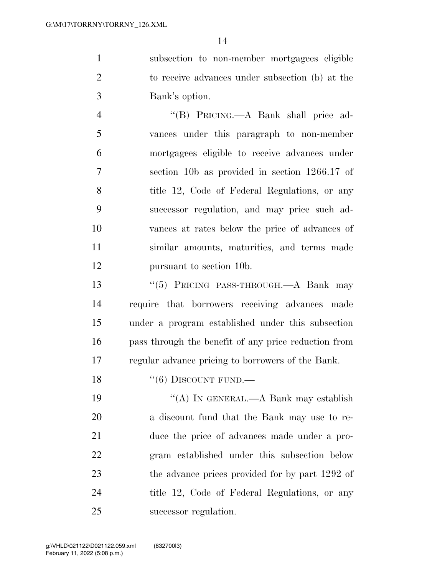subsection to non-member mortgagees eligible to receive advances under subsection (b) at the Bank's option.

 ''(B) PRICING.—A Bank shall price ad- vances under this paragraph to non-member mortgagees eligible to receive advances under section 10b as provided in section 1266.17 of 8 title 12, Code of Federal Regulations, or any successor regulation, and may price such ad- vances at rates below the price of advances of similar amounts, maturities, and terms made pursuant to section 10b.

 ''(5) PRICING PASS-THROUGH.—A Bank may require that borrowers receiving advances made under a program established under this subsection pass through the benefit of any price reduction from regular advance pricing to borrowers of the Bank.

18  $"(6)$  DISCOUNT FUND.—

 ''(A) IN GENERAL.—A Bank may establish a discount fund that the Bank may use to re- duce the price of advances made under a pro- gram established under this subsection below 23 the advance prices provided for by part 1292 of title 12, Code of Federal Regulations, or any successor regulation.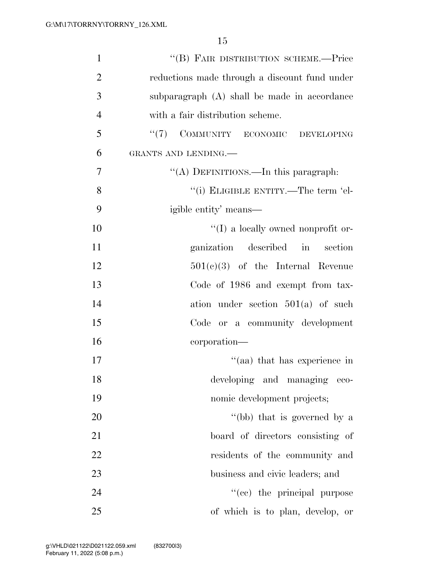| $\mathbf{1}$   | "(B) FAIR DISTRIBUTION SCHEME.-Price          |
|----------------|-----------------------------------------------|
| $\overline{2}$ | reductions made through a discount fund under |
| 3              | subparagraph (A) shall be made in accordance  |
| $\overline{4}$ | with a fair distribution scheme.              |
| 5              | "(7) COMMUNITY ECONOMIC DEVELOPING            |
| 6              | GRANTS AND LENDING.                           |
| $\overline{7}$ | "(A) DEFINITIONS.—In this paragraph:          |
| 8              | "(i) ELIGIBLE ENTITY.—The term 'el-           |
| 9              | igible entity' means—                         |
| 10             | $\lq\lq$ (I) a locally owned nonprofit or-    |
| 11             | ganization described in<br>section            |
| 12             | $501(e)(3)$ of the Internal Revenue           |
| 13             | Code of 1986 and exempt from tax-             |
| 14             | ation under section $501(a)$ of such          |
| 15             | Code or a community development               |
| 16             | corporation—                                  |
| 17             | "(aa) that has experience in                  |
| 18             | developing and managing<br>$-$ eco-           |
| 19             | nomic development projects;                   |
| <b>20</b>      | "(bb) that is governed by a                   |
| 21             | board of directors consisting of              |
| 22             | residents of the community and                |
| 23             | business and civic leaders; and               |
| 24             | "(cc) the principal purpose                   |
| 25             | of which is to plan, develop, or              |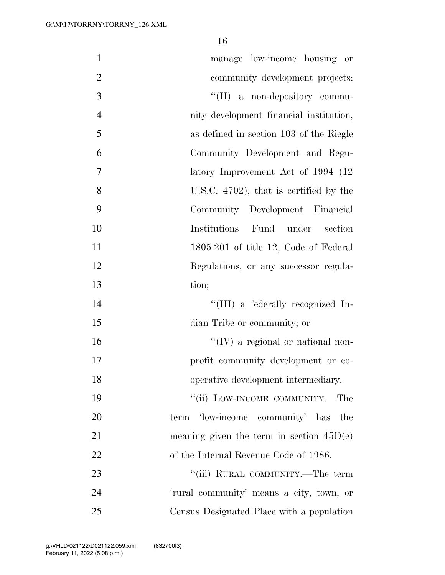| $\mathbf{1}$   | manage low-income housing or               |
|----------------|--------------------------------------------|
| $\overline{2}$ | community development projects;            |
| 3              | "(II) a non-depository commu-              |
| $\overline{4}$ | nity development financial institution,    |
| 5              | as defined in section 103 of the Riegle    |
| 6              | Community Development and Regu-            |
| 7              | latory Improvement Act of 1994 (12)        |
| 8              | U.S.C. $4702$ ), that is certified by the  |
| 9              | Community Development Financial            |
| 10             | Institutions Fund under<br>section         |
| 11             | $1805.201$ of title 12, Code of Federal    |
| 12             | Regulations, or any successor regula-      |
| 13             | tion;                                      |
| 14             | "(III) a federally recognized In-          |
| 15             | dian Tribe or community; or                |
| 16             | $\lq\lq$ (IV) a regional or national non-  |
| 17             | profit community development or co-        |
| 18             | operative development intermediary.        |
| 19             | "(ii) LOW-INCOME COMMUNITY.—The            |
| 20             | term 'low-income community' has the        |
| 21             | meaning given the term in section $45D(e)$ |
| 22             | of the Internal Revenue Code of 1986.      |
| 23             | "(iii) RURAL COMMUNITY.—The term           |
| 24             | 'rural community' means a city, town, or   |
| 25             | Census Designated Place with a population  |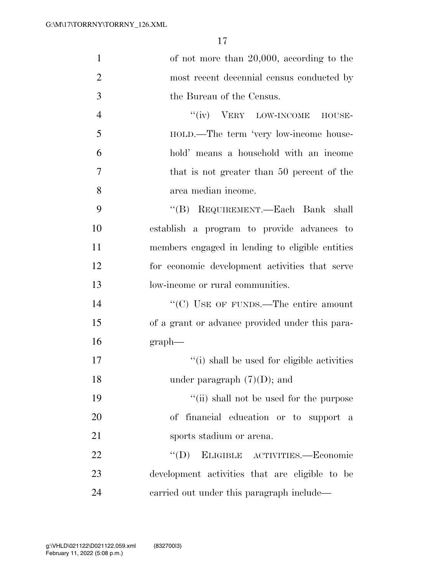| $\mathbf{1}$   | of not more than $20,000$ , according to the    |
|----------------|-------------------------------------------------|
| $\overline{2}$ | most recent decennial census conducted by       |
| 3              | the Bureau of the Census.                       |
| $\overline{4}$ | "(iv) VERY LOW-INCOME HOUSE-                    |
| 5              | HOLD.—The term 'very low-income house-          |
| 6              | hold' means a household with an income          |
| 7              | that is not greater than 50 percent of the      |
| 8              | area median income.                             |
| 9              | "(B) REQUIREMENT.—Each Bank shall               |
| 10             | establish a program to provide advances to      |
| 11             | members engaged in lending to eligible entities |
| 12             | for economic development activities that serve  |
| 13             | low-income or rural communities.                |
| 14             | "(C) USE OF FUNDS.—The entire amount            |
| 15             | of a grant or advance provided under this para- |
| 16             | $graph$ —                                       |
| 17             | "(i) shall be used for eligible activities      |
| 18             | under paragraph $(7)(D)$ ; and                  |
| 19             | "(ii) shall not be used for the purpose         |
| 20             | of financial education or to support a          |
| 21             | sports stadium or arena.                        |
| 22             | $\lq\lq (D)$<br>ELIGIBLE ACTIVITIES.-Economic   |
| 23             | development activities that are eligible to be  |
| 24             | carried out under this paragraph include—       |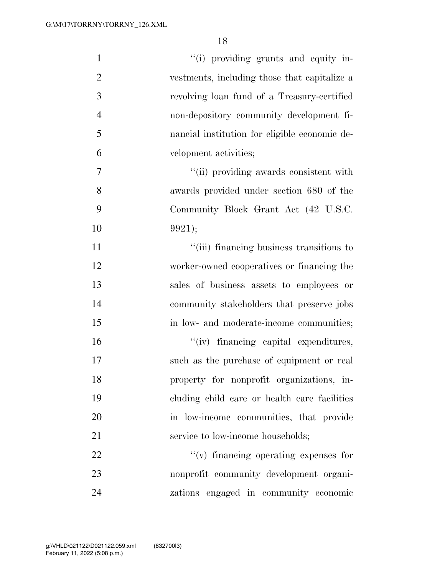| $\mathbf{1}$   | "(i) providing grants and equity in-          |
|----------------|-----------------------------------------------|
| $\overline{2}$ | vestments, including those that capitalize a  |
| 3              | revolving loan fund of a Treasury-certified   |
| $\overline{4}$ | non-depository community development fi-      |
| 5              | nancial institution for eligible economic de- |
| 6              | velopment activities;                         |
| 7              | "(ii) providing awards consistent with        |
| 8              | awards provided under section 680 of the      |
| 9              | Community Block Grant Act (42 U.S.C.          |
| 10             | 9921);                                        |
| 11             | "(iii) financing business transitions to      |
| 12             | worker-owned cooperatives or financing the    |
| 13             | sales of business assets to employees or      |
| 14             | community stakeholders that preserve jobs     |
| 15             | in low- and moderate-income communities;      |
| 16             | "(iv) financing capital expenditures,         |
| 17             | such as the purchase of equipment or real     |
| 18             | property for nonprofit organizations, in-     |
| 19             | cluding child care or health care facilities  |
| 20             | in low-income communities, that provide       |
| 21             | service to low-income households;             |
| 22             | $f'(v)$ financing operating expenses for      |
| 23             | nonprofit community development organi-       |
| 24             | zations engaged in community economic         |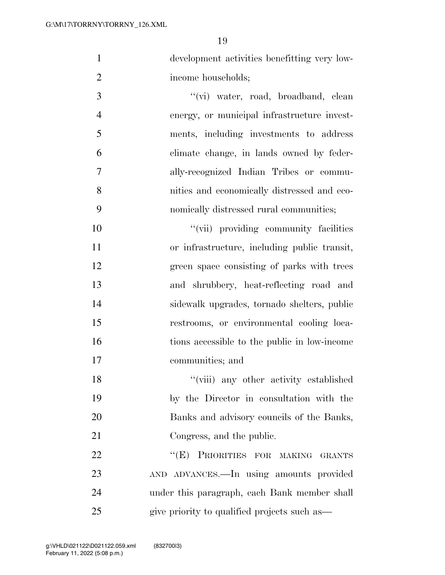development activities benefitting very low-income households;

3 ''(vi) water, road, broadband, clean energy, or municipal infrastructure invest- ments, including investments to address climate change, in lands owned by feder- ally-recognized Indian Tribes or commu- nities and economically distressed and eco-nomically distressed rural communities;

 $"$ (vii) providing community facilities or infrastructure, including public transit, green space consisting of parks with trees and shrubbery, heat-reflecting road and sidewalk upgrades, tornado shelters, public restrooms, or environmental cooling loca- tions accessible to the public in low-income communities; and

 ''(viii) any other activity established by the Director in consultation with the Banks and advisory councils of the Banks, Congress, and the public.

22 "(E) PRIORITIES FOR MAKING GRANTS AND ADVANCES.—In using amounts provided under this paragraph, each Bank member shall give priority to qualified projects such as—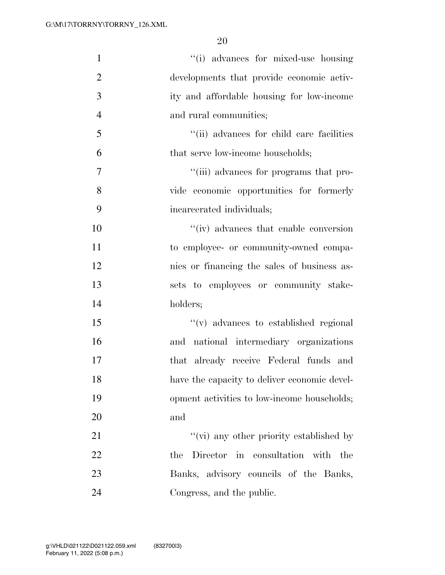| $\mathbf{1}$   | "(i) advances for mixed-use housing          |
|----------------|----------------------------------------------|
| $\overline{2}$ | developments that provide economic activ-    |
| 3              | ity and affordable housing for low-income    |
| $\overline{4}$ | and rural communities;                       |
| 5              | "(ii) advances for child care facilities     |
| 6              | that serve low-income households;            |
| $\overline{7}$ | "(iii) advances for programs that pro-       |
| 8              | vide economic opportunities for formerly     |
| 9              | incarcerated individuals;                    |
| 10             | "(iv) advances that enable conversion        |
| 11             | to employee- or community-owned compa-       |
| 12             | nies or financing the sales of business as-  |
| 13             | sets to employees or community stake-        |
| 14             | holders;                                     |
| 15             | "(v) advances to established regional        |
| 16             | and national intermediary organizations      |
| 17             | that already receive Federal funds and       |
| 18             | have the capacity to deliver economic devel- |
| 19             | opment activities to low-income households;  |
| 20             | and                                          |
| 21             | "(vi) any other priority established by      |
| 22             | Director in consultation with the<br>the     |
| 23             | Banks, advisory councils of the Banks,       |
| 24             | Congress, and the public.                    |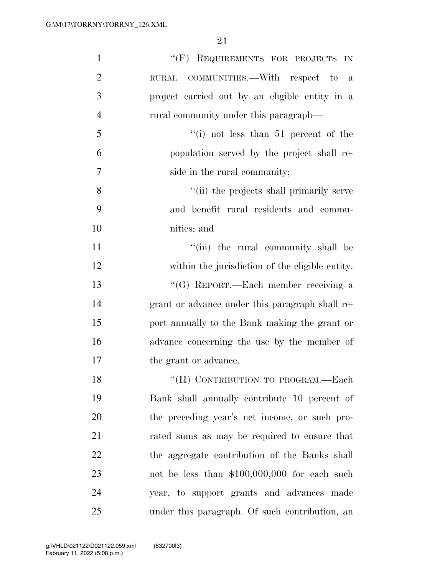| $\mathbf{1}$   | "(F) REQUIREMENTS FOR PROJECTS IN                  |
|----------------|----------------------------------------------------|
| $\overline{2}$ | COMMUNITIES.—With respect to<br>$\rm RURAL$<br>- a |
| 3              | project carried out by an eligible entity in a     |
| $\overline{4}$ | rural community under this paragraph—              |
| 5              | "(i) not less than $51$ percent of the             |
| 6              | population served by the project shall re-         |
| $\tau$         | side in the rural community;                       |
| 8              | "(ii) the projects shall primarily serve           |
| 9              | and benefit rural residents and commu-             |
| 10             | nities; and                                        |
| 11             | "(iii) the rural community shall be                |
| 12             | within the jurisdiction of the eligible entity.    |
| 13             | "(G) REPORT.—Each member receiving a               |
| 14             | grant or advance under this paragraph shall re-    |
| 15             | port annually to the Bank making the grant or      |
| 16             | advance concerning the use by the member of        |
| 17             | the grant or advance.                              |
| 18             | "(H) CONTRIBUTION TO PROGRAM.—Each                 |
| 19             | Bank shall annually contribute 10 percent of       |
| 20             | the preceding year's net income, or such pro-      |
| 21             | rated sums as may be required to ensure that       |
| 22             | the aggregate contribution of the Banks shall      |
| 23             | not be less than \$100,000,000 for each such       |
| 24             | year, to support grants and advances made          |
| 25             | under this paragraph. Of such contribution, an     |